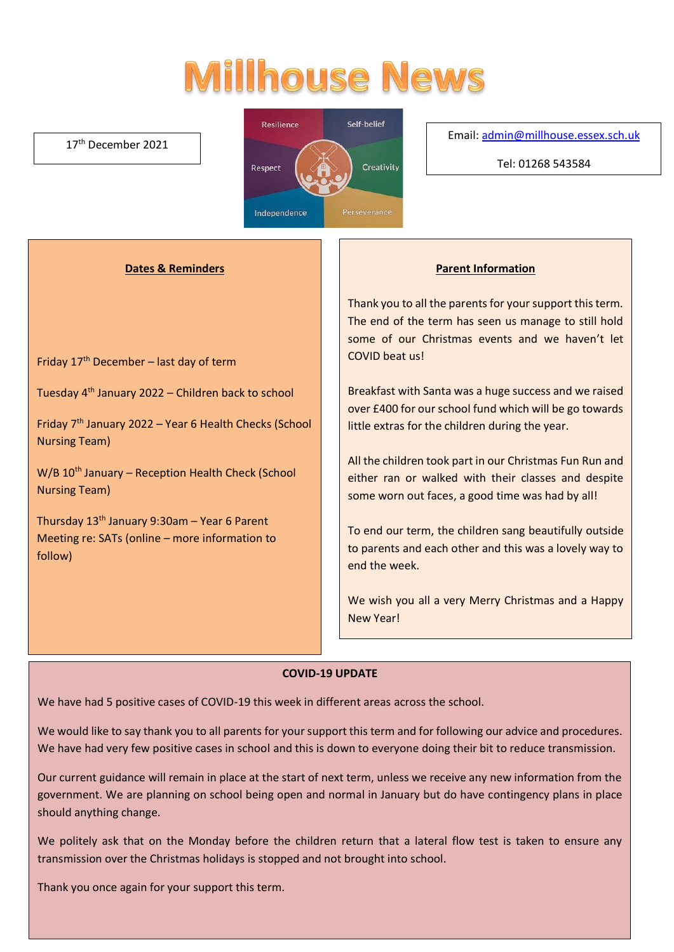# **Millhouse News**

#### 17th December 2021



Email[: admin@millhouse.essex.sch.uk](mailto:admin@millhouse.essex.sch.uk)

Tel: 01268 543584

# **Dates & Reminders**

Friday 17th December – last day of term

Tuesday 4th January 2022 – Children back to school

Friday 7th January 2022 – Year 6 Health Checks (School Nursing Team)

 $W/B$  10<sup>th</sup> January – Reception Health Check (School Nursing Team)

Thursday  $13<sup>th</sup>$  January 9:30am – Year 6 Parent Meeting re: SATs (online – more information to follow)

#### **Parent Information**

Thank you to all the parents for your support this term. The end of the term has seen us manage to still hold some of our Christmas events and we haven't let COVID beat us!

Breakfast with Santa was a huge success and we raised over £400 for our school fund which will be go towards little extras for the children during the year.

All the children took part in our Christmas Fun Run and either ran or walked with their classes and despite some worn out faces, a good time was had by all!

To end our term, the children sang beautifully outside to parents and each other and this was a lovely way to end the week.

We wish you all a very Merry Christmas and a Happy New Year!

# **COVID-19 UPDATE**

We have had 5 positive cases of COVID-19 this week in different areas across the school.

We would like to say thank you to all parents for your support this term and for following our advice and procedures. We have had very few positive cases in school and this is down to everyone doing their bit to reduce transmission.

Our current guidance will remain in place at the start of next term, unless we receive any new information from the government. We are planning on school being open and normal in January but do have contingency plans in place should anything change.

We politely ask that on the Monday before the children return that a lateral flow test is taken to ensure any transmission over the Christmas holidays is stopped and not brought into school.

Thank you once again for your support this term.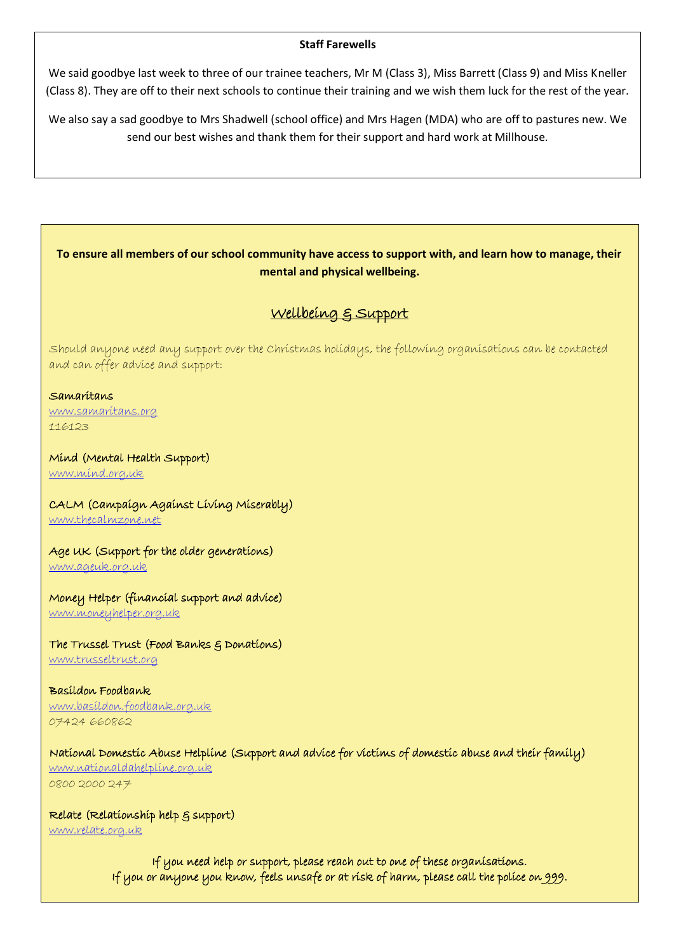#### **Staff Farewells**

We said goodbye last week to three of our trainee teachers, Mr M (Class 3), Miss Barrett (Class 9) and Miss Kneller (Class 8). They are off to their next schools to continue their training and we wish them luck for the rest of the year.

We also say a sad goodbye to Mrs Shadwell (school office) and Mrs Hagen (MDA) who are off to pastures new. We send our best wishes and thank them for their support and hard work at Millhouse.

# **To ensure all members of our school community have access to support with, and learn how to manage, their mental and physical wellbeing.**

# Wellbeing & Support

Should anyone need any support over the Christmas holidays, the following organisations can be contacted and can offer advice and support:

#### Samaritans

[www.samaritans.org](http://www.samaritans.org/) 116123

#### Mind (Mental Health Support)

[www.mind.org,uk](http://www.mind.org,uk/)

#### CALM (Campaign Against Living Miserably)

[www.thecalmzone.net](http://www.thecalmzone.net/)

# Age UK (Support for the older generations)

[www.ageuk.org.uk](http://www.ageuk.org.uk/)

# Money Helper (financial support and advice)

[www.moneyhelper.org.uk](http://www.moneyhelper.org.uk/)

#### The Trussel Trust (Food Banks & Donations)

[www.trusseltrust.org](http://www.trusseltrust.org/)

Basildon Foodbank [www.basildon.foodbank.org.uk](http://www.basildon.foodbank.org.uk/) 07424 660862

# National Domestic Abuse Helpline (Support and advice for victims of domestic abuse and their family)

[www.nationaldahelpline.org.uk](http://www.nationaldahelpline.org.uk/) 0800 2000 247

#### Relate (Relationship help & support)

[www.relate.org.uk](http://www.relate.org.uk/)

If you need help or support, please reach out to one of these organisations. If you or anyone you know, feels unsafe or at risk of harm, please call the police on 999.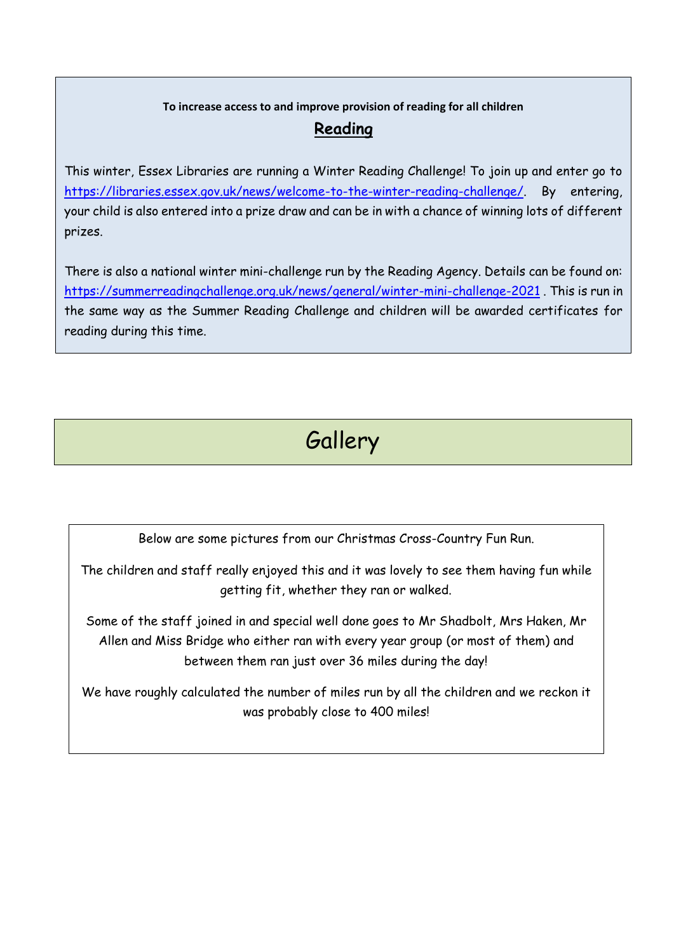# **To increase access to and improve provision of reading for all children**

# **Reading**

This winter, Essex Libraries are running a Winter Reading Challenge! To join up and enter go to [https://libraries.essex.gov.uk/news/welcome-to-the-winter-reading-challenge/.](https://libraries.essex.gov.uk/news/welcome-to-the-winter-reading-challenge/) By entering, your child is also entered into a prize draw and can be in with a chance of winning lots of different prizes.

There is also a national winter mini-challenge run by the Reading Agency. Details can be found on: <https://summerreadingchallenge.org.uk/news/general/winter-mini-challenge-2021> . This is run in the same way as the Summer Reading Challenge and children will be awarded certificates for reading during this time.

**Gallery** 

Below are some pictures from our Christmas Cross-Country Fun Run.

The children and staff really enjoyed this and it was lovely to see them having fun while getting fit, whether they ran or walked.

Some of the staff joined in and special well done goes to Mr Shadbolt, Mrs Haken, Mr Allen and Miss Bridge who either ran with every year group (or most of them) and between them ran just over 36 miles during the day!

We have roughly calculated the number of miles run by all the children and we reckon it was probably close to 400 miles!